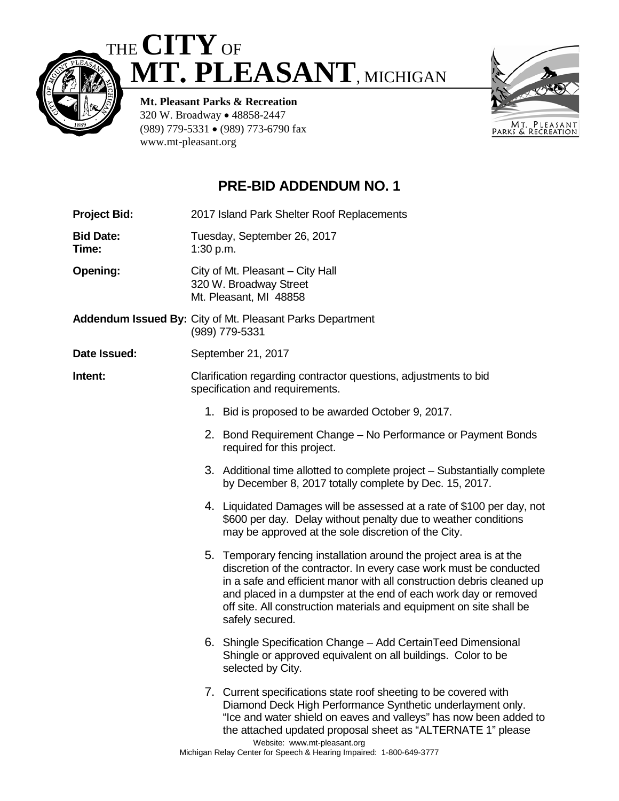





**Mt. Pleasant Parks & Recreation** 320 W. Broadway • 48858-2447 (989) 779-5331 • (989) 773-6790 fax www.mt-pleasant.org

## **PRE-BID ADDENDUM NO. 1**

**Project Bid:** 2017 Island Park Shelter Roof Replacements

**Bid Date:** Tuesday, September 26, 2017 **Time:** 1:30 p.m.

**Opening:** City of Mt. Pleasant – City Hall 320 W. Broadway Street Mt. Pleasant, MI 48858

**Addendum Issued By:** City of Mt. Pleasant Parks Department (989) 779-5331

**Date Issued:** September 21, 2017

**Intent:** Clarification regarding contractor questions, adjustments to bid specification and requirements.

- 1. Bid is proposed to be awarded October 9, 2017.
- 2. Bond Requirement Change No Performance or Payment Bonds required for this project.
- 3. Additional time allotted to complete project Substantially complete by December 8, 2017 totally complete by Dec. 15, 2017.
- 4. Liquidated Damages will be assessed at a rate of \$100 per day, not \$600 per day. Delay without penalty due to weather conditions may be approved at the sole discretion of the City.
- 5. Temporary fencing installation around the project area is at the discretion of the contractor. In every case work must be conducted in a safe and efficient manor with all construction debris cleaned up and placed in a dumpster at the end of each work day or removed off site. All construction materials and equipment on site shall be safely secured.
- 6. Shingle Specification Change Add CertainTeed Dimensional Shingle or approved equivalent on all buildings. Color to be selected by City.
- Website: www.mt-pleasant.org 7. Current specifications state roof sheeting to be covered with Diamond Deck High Performance Synthetic underlayment only. "Ice and water shield on eaves and valleys" has now been added to the attached updated proposal sheet as "ALTERNATE 1" please

Michigan Relay Center for Speech & Hearing Impaired: 1-800-649-3777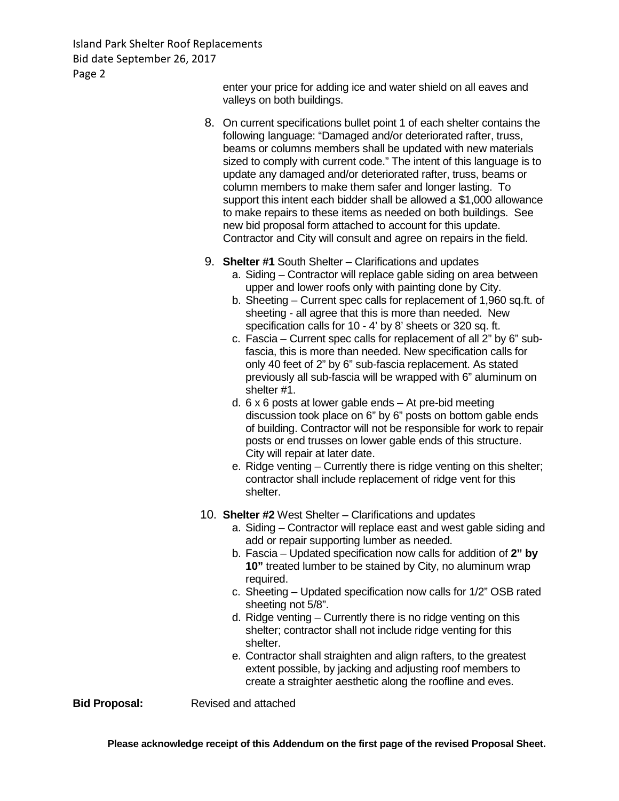Island Park Shelter Roof Replacements Bid date September 26, 2017 Page 2

> enter your price for adding ice and water shield on all eaves and valleys on both buildings.

- 8. On current specifications bullet point 1 of each shelter contains the following language: "Damaged and/or deteriorated rafter, truss, beams or columns members shall be updated with new materials sized to comply with current code." The intent of this language is to update any damaged and/or deteriorated rafter, truss, beams or column members to make them safer and longer lasting. To support this intent each bidder shall be allowed a \$1,000 allowance to make repairs to these items as needed on both buildings. See new bid proposal form attached to account for this update. Contractor and City will consult and agree on repairs in the field.
- 9. **Shelter #1** South Shelter Clarifications and updates
	- a. Siding Contractor will replace gable siding on area between upper and lower roofs only with painting done by City.
	- b. Sheeting Current spec calls for replacement of 1,960 sq.ft. of sheeting - all agree that this is more than needed. New specification calls for 10 - 4' by 8' sheets or 320 sq. ft.
	- c. Fascia Current spec calls for replacement of all 2" by 6" subfascia, this is more than needed. New specification calls for only 40 feet of 2" by 6" sub-fascia replacement. As stated previously all sub-fascia will be wrapped with 6" aluminum on shelter #1.
	- d. 6 x 6 posts at lower gable ends At pre-bid meeting discussion took place on 6" by 6" posts on bottom gable ends of building. Contractor will not be responsible for work to repair posts or end trusses on lower gable ends of this structure. City will repair at later date.
	- e. Ridge venting Currently there is ridge venting on this shelter; contractor shall include replacement of ridge vent for this shelter.
- 10. **Shelter #2** West Shelter Clarifications and updates
	- a. Siding Contractor will replace east and west gable siding and add or repair supporting lumber as needed.
	- b. Fascia Updated specification now calls for addition of **2" by 10"** treated lumber to be stained by City, no aluminum wrap required.
	- c. Sheeting Updated specification now calls for 1/2" OSB rated sheeting not 5/8".
	- d. Ridge venting Currently there is no ridge venting on this shelter; contractor shall not include ridge venting for this shelter.
	- e. Contractor shall straighten and align rafters, to the greatest extent possible, by jacking and adjusting roof members to create a straighter aesthetic along the roofline and eves.

**Bid Proposal:** Revised and attached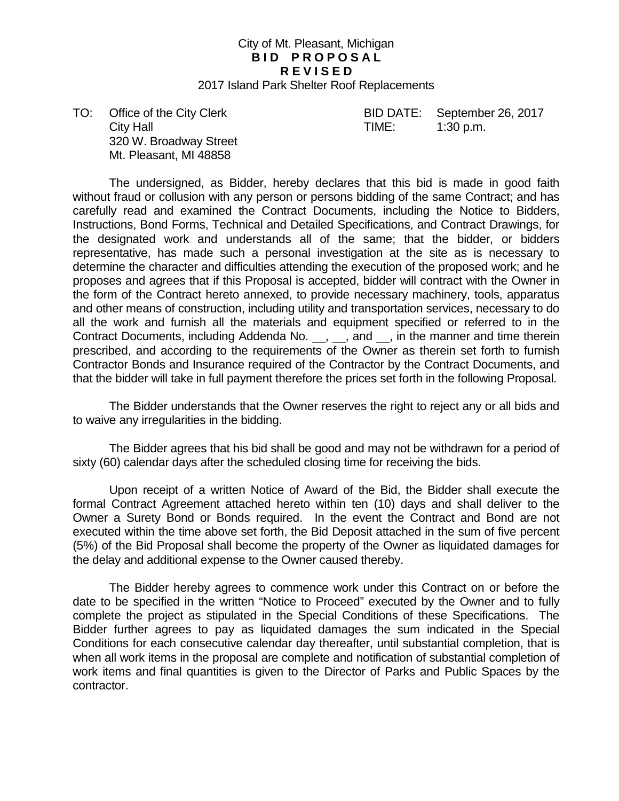## City of Mt. Pleasant, Michigan **BID PROPOSAL R E V I S E D**

2017 Island Park Shelter Roof Replacements

City Hall **City Hall City Hall City Hall City Hall City Hall City Hall City Hall City Hall City Hall City Hall City Hall City Hall City Hall City Hall City Hall City Hall City Hall City Ha** 320 W. Broadway Street Mt. Pleasant, MI 48858

TO: Office of the City Clerk BID DATE: September 26, 2017

The undersigned, as Bidder, hereby declares that this bid is made in good faith without fraud or collusion with any person or persons bidding of the same Contract; and has carefully read and examined the Contract Documents, including the Notice to Bidders, Instructions, Bond Forms, Technical and Detailed Specifications, and Contract Drawings, for the designated work and understands all of the same; that the bidder, or bidders representative, has made such a personal investigation at the site as is necessary to determine the character and difficulties attending the execution of the proposed work; and he proposes and agrees that if this Proposal is accepted, bidder will contract with the Owner in the form of the Contract hereto annexed, to provide necessary machinery, tools, apparatus and other means of construction, including utility and transportation services, necessary to do all the work and furnish all the materials and equipment specified or referred to in the Contract Documents, including Addenda No. \_\_, \_\_, and \_\_, in the manner and time therein prescribed, and according to the requirements of the Owner as therein set forth to furnish Contractor Bonds and Insurance required of the Contractor by the Contract Documents, and that the bidder will take in full payment therefore the prices set forth in the following Proposal.

The Bidder understands that the Owner reserves the right to reject any or all bids and to waive any irregularities in the bidding.

The Bidder agrees that his bid shall be good and may not be withdrawn for a period of sixty (60) calendar days after the scheduled closing time for receiving the bids.

Upon receipt of a written Notice of Award of the Bid, the Bidder shall execute the formal Contract Agreement attached hereto within ten (10) days and shall deliver to the Owner a Surety Bond or Bonds required. In the event the Contract and Bond are not executed within the time above set forth, the Bid Deposit attached in the sum of five percent (5%) of the Bid Proposal shall become the property of the Owner as liquidated damages for the delay and additional expense to the Owner caused thereby.

The Bidder hereby agrees to commence work under this Contract on or before the date to be specified in the written "Notice to Proceed" executed by the Owner and to fully complete the project as stipulated in the Special Conditions of these Specifications. The Bidder further agrees to pay as liquidated damages the sum indicated in the Special Conditions for each consecutive calendar day thereafter, until substantial completion, that is when all work items in the proposal are complete and notification of substantial completion of work items and final quantities is given to the Director of Parks and Public Spaces by the contractor.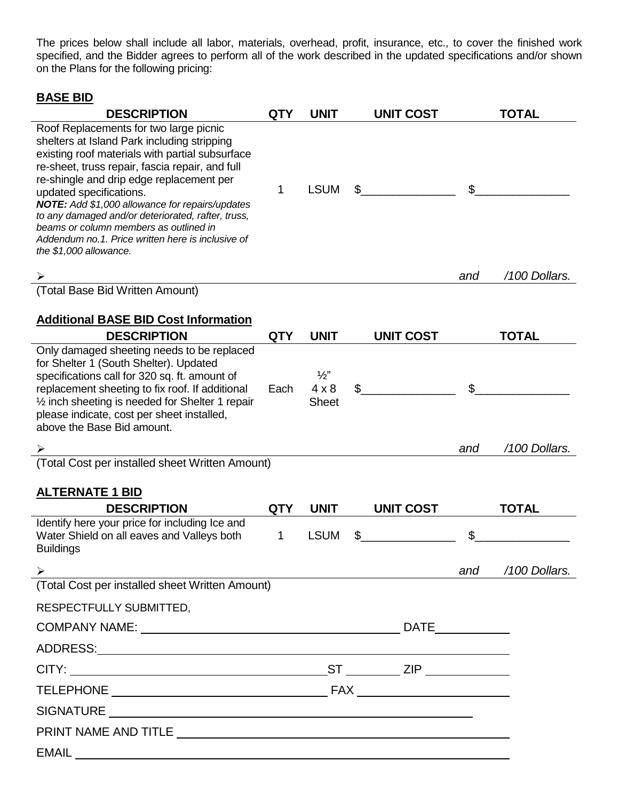The prices below shall include all labor, materials, overhead, profit, insurance, etc., to cover the finished work specified, and the Bidder agrees to perform all of the work described in the updated specifications and/or shown on the Plans for the following pricing:

## **BASE BID**

| <b>DESCRIPTION</b>                                                                                                                                                                                                                                                                                                                                                                                                                                                                                   | <b>QTY</b> | <b>UNIT</b>                                   | <b>UNIT COST</b> |                | <b>TOTAL</b>  |
|------------------------------------------------------------------------------------------------------------------------------------------------------------------------------------------------------------------------------------------------------------------------------------------------------------------------------------------------------------------------------------------------------------------------------------------------------------------------------------------------------|------------|-----------------------------------------------|------------------|----------------|---------------|
| Roof Replacements for two large picnic<br>shelters at Island Park including stripping<br>existing roof materials with partial subsurface<br>re-sheet, truss repair, fascia repair, and full<br>re-shingle and drip edge replacement per<br>updated specifications.<br>NOTE: Add \$1,000 allowance for repairs/updates<br>to any damaged and/or deteriorated, rafter, truss,<br>beams or column members as outlined in<br>Addendum no.1. Price written here is inclusive of<br>the \$1,000 allowance. | 1          | <b>LSUM</b>                                   |                  | $\mathfrak{L}$ |               |
|                                                                                                                                                                                                                                                                                                                                                                                                                                                                                                      |            |                                               |                  | and            | /100 Dollars. |
| (Total Base Bid Written Amount)                                                                                                                                                                                                                                                                                                                                                                                                                                                                      |            |                                               |                  |                |               |
| <b>Additional BASE BID Cost Information</b>                                                                                                                                                                                                                                                                                                                                                                                                                                                          |            |                                               |                  |                |               |
| <b>DESCRIPTION</b><br>Only damaged sheeting needs to be replaced                                                                                                                                                                                                                                                                                                                                                                                                                                     | <b>QTY</b> | <b>UNIT</b>                                   | <b>UNIT COST</b> |                | <b>TOTAL</b>  |
| for Shelter 1 (South Shelter). Updated<br>specifications call for 320 sq. ft. amount of<br>replacement sheeting to fix roof. If additional<br>1/2 inch sheeting is needed for Shelter 1 repair<br>please indicate, cost per sheet installed,<br>above the Base Bid amount.                                                                                                                                                                                                                           | Each       | $\frac{1}{2}$<br>$4 \times 8$<br><b>Sheet</b> | \$               | $\mathfrak{L}$ |               |
|                                                                                                                                                                                                                                                                                                                                                                                                                                                                                                      |            |                                               |                  | and            | /100 Dollars. |
| (Total Cost per installed sheet Written Amount)                                                                                                                                                                                                                                                                                                                                                                                                                                                      |            |                                               |                  |                |               |
| <b>ALTERNATE 1 BID</b>                                                                                                                                                                                                                                                                                                                                                                                                                                                                               |            |                                               |                  |                |               |
| <b>DESCRIPTION</b>                                                                                                                                                                                                                                                                                                                                                                                                                                                                                   | <b>QTY</b> | <b>UNIT</b>                                   | <b>UNIT COST</b> |                | <b>TOTAL</b>  |
| Identify here your price for including Ice and<br>Water Shield on all eaves and Valleys both<br><b>Buildings</b>                                                                                                                                                                                                                                                                                                                                                                                     | 1          | <b>LSUM</b>                                   |                  | \$             |               |
|                                                                                                                                                                                                                                                                                                                                                                                                                                                                                                      |            |                                               |                  | and            | /100 Dollars. |
| (Total Cost per installed sheet Written Amount)                                                                                                                                                                                                                                                                                                                                                                                                                                                      |            |                                               |                  |                |               |
|                                                                                                                                                                                                                                                                                                                                                                                                                                                                                                      |            |                                               |                  |                |               |
| RESPECTFULLY SUBMITTED,                                                                                                                                                                                                                                                                                                                                                                                                                                                                              |            |                                               |                  |                |               |
| COMPANY NAME: DATE                                                                                                                                                                                                                                                                                                                                                                                                                                                                                   |            |                                               |                  |                |               |
|                                                                                                                                                                                                                                                                                                                                                                                                                                                                                                      |            |                                               |                  |                |               |
|                                                                                                                                                                                                                                                                                                                                                                                                                                                                                                      |            |                                               |                  |                |               |
|                                                                                                                                                                                                                                                                                                                                                                                                                                                                                                      |            |                                               |                  |                |               |
|                                                                                                                                                                                                                                                                                                                                                                                                                                                                                                      |            |                                               |                  |                |               |
|                                                                                                                                                                                                                                                                                                                                                                                                                                                                                                      |            |                                               |                  |                |               |